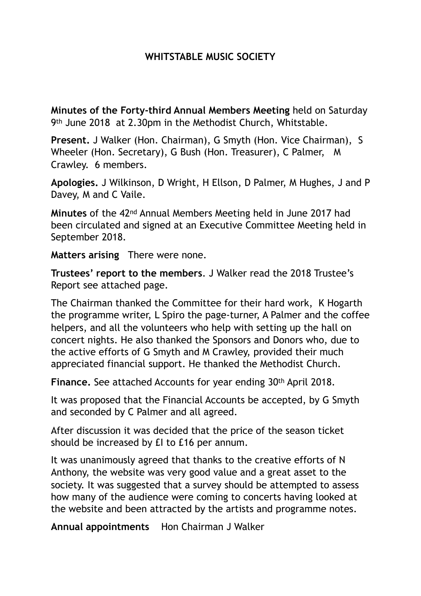## **WHITSTABLE MUSIC SOCIETY**

**Minutes of the Forty-third Annual Members Meeting** held on Saturday 9th June 2018 at 2.30pm in the Methodist Church, Whitstable.

**Present.** J Walker (Hon. Chairman), G Smyth (Hon. Vice Chairman), S Wheeler (Hon. Secretary), G Bush (Hon. Treasurer), C Palmer, M Crawley. 6 members.

**Apologies.** J Wilkinson, D Wright, H Ellson, D Palmer, M Hughes, J and P Davey, M and C Vaile.

**Minutes** of the 42nd Annual Members Meeting held in June 2017 had been circulated and signed at an Executive Committee Meeting held in September 2018.

**Matters arising** There were none.

**Trustees' report to the members**. J Walker read the 2018 Trustee's Report see attached page.

The Chairman thanked the Committee for their hard work, K Hogarth the programme writer, L Spiro the page-turner, A Palmer and the coffee helpers, and all the volunteers who help with setting up the hall on concert nights. He also thanked the Sponsors and Donors who, due to the active efforts of G Smyth and M Crawley, provided their much appreciated financial support. He thanked the Methodist Church.

**Finance.** See attached Accounts for year ending 30th April 2018.

It was proposed that the Financial Accounts be accepted, by G Smyth and seconded by C Palmer and all agreed.

After discussion it was decided that the price of the season ticket should be increased by £I to £16 per annum.

It was unanimously agreed that thanks to the creative efforts of N Anthony, the website was very good value and a great asset to the society. It was suggested that a survey should be attempted to assess how many of the audience were coming to concerts having looked at the website and been attracted by the artists and programme notes.

**Annual appointments** Hon Chairman J Walker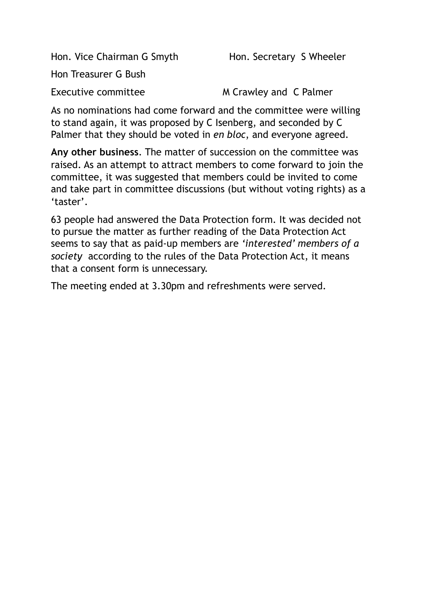Hon. Vice Chairman G Smyth Hon. Secretary S Wheeler

Hon Treasurer G Bush

Executive committee M Crawley and C Palmer

As no nominations had come forward and the committee were willing to stand again, it was proposed by C Isenberg, and seconded by C Palmer that they should be voted in *en bloc*, and everyone agreed.

**Any other business**. The matter of succession on the committee was raised. As an attempt to attract members to come forward to join the committee, it was suggested that members could be invited to come and take part in committee discussions (but without voting rights) as a 'taster'.

63 people had answered the Data Protection form. It was decided not to pursue the matter as further reading of the Data Protection Act seems to say that as paid-up members are *'interested' members of a society* according to the rules of the Data Protection Act, it means that a consent form is unnecessary.

The meeting ended at 3.30pm and refreshments were served.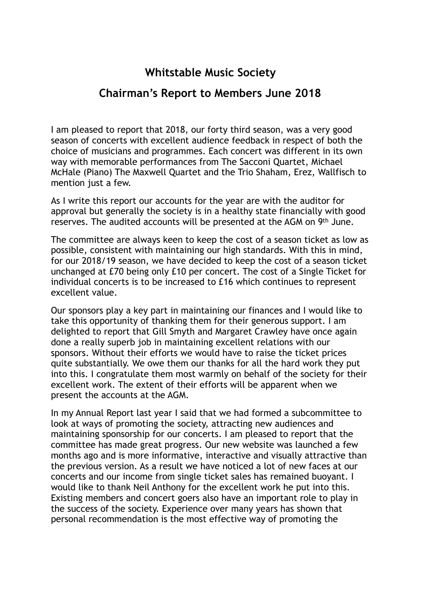## **Whitstable Music Society**

## **Chairman's Report to Members June 2018**

I am pleased to report that 2018, our forty third season, was a very good season of concerts with excellent audience feedback in respect of both the choice of musicians and programmes. Each concert was different in its own way with memorable performances from The Sacconi Quartet, Michael McHale (Piano) The Maxwell Quartet and the Trio Shaham, Erez, Wallfisch to mention just a few.

As I write this report our accounts for the year are with the auditor for approval but generally the society is in a healthy state financially with good reserves. The audited accounts will be presented at the AGM on 9th June.

The committee are always keen to keep the cost of a season ticket as low as possible, consistent with maintaining our high standards. With this in mind, for our 2018/19 season, we have decided to keep the cost of a season ticket unchanged at £70 being only £10 per concert. The cost of a Single Ticket for individual concerts is to be increased to £16 which continues to represent excellent value.

Our sponsors play a key part in maintaining our finances and I would like to take this opportunity of thanking them for their generous support. I am delighted to report that Gill Smyth and Margaret Crawley have once again done a really superb job in maintaining excellent relations with our sponsors. Without their efforts we would have to raise the ticket prices quite substantially. We owe them our thanks for all the hard work they put into this. I congratulate them most warmly on behalf of the society for their excellent work. The extent of their efforts will be apparent when we present the accounts at the AGM.

In my Annual Report last year I said that we had formed a subcommittee to look at ways of promoting the society, attracting new audiences and maintaining sponsorship for our concerts. I am pleased to report that the committee has made great progress. Our new website was launched a few months ago and is more informative, interactive and visually attractive than the previous version. As a result we have noticed a lot of new faces at our concerts and our income from single ticket sales has remained buoyant. I would like to thank Neil Anthony for the excellent work he put into this. Existing members and concert goers also have an important role to play in the success of the society. Experience over many years has shown that personal recommendation is the most effective way of promoting the